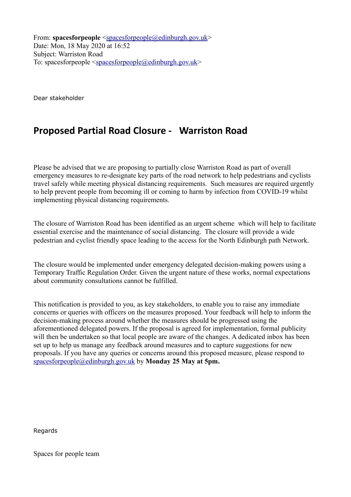From: **spacesforpeople** [<spacesforpeople@edinburgh.gov.uk>](mailto:spacesforpeople@edinburgh.gov.uk) Date: Mon, 18 May 2020 at 16:52 Subject: Warriston Road To: spacesforpeople  $\leq$ spacesforpeople $@$ edinburgh.gov.uk>

Dear stakeholder

## **Proposed Partial Road Closure - Warriston Road**

Please be advised that we are proposing to partially close Warriston Road as part of overall emergency measures to re-designate key parts of the road network to help pedestrians and cyclists travel safely while meeting physical distancing requirements. Such measures are required urgently to help prevent people from becoming ill or coming to harm by infection from COVID-19 whilst implementing physical distancing requirements.

The closure of Warriston Road has been identified as an urgent scheme which will help to facilitate essential exercise and the maintenance of social distancing. The closure will provide a wide pedestrian and cyclist friendly space leading to the access for the North Edinburgh path Network.

The closure would be implemented under emergency delegated decision-making powers using a Temporary Traffic Regulation Order. Given the urgent nature of these works, normal expectations about community consultations cannot be fulfilled.

This notification is provided to you, as key stakeholders, to enable you to raise any immediate concerns or queries with officers on the measures proposed. Your feedback will help to inform the decision-making process around whether the measures should be progressed using the aforementioned delegated powers. If the proposal is agreed for implementation, formal publicity will then be undertaken so that local people are aware of the changes. A dedicated inbox has been set up to help us manage any feedback around measures and to capture suggestions for new proposals. If you have any queries or concerns around this proposed measure, please respond to [spacesforpeople@edinburgh.gov.uk](mailto:spacesforpeople@edinburgh.gov.uk) by **Monday 25 May at 5pm.**

**Regards** 

Spaces for people team